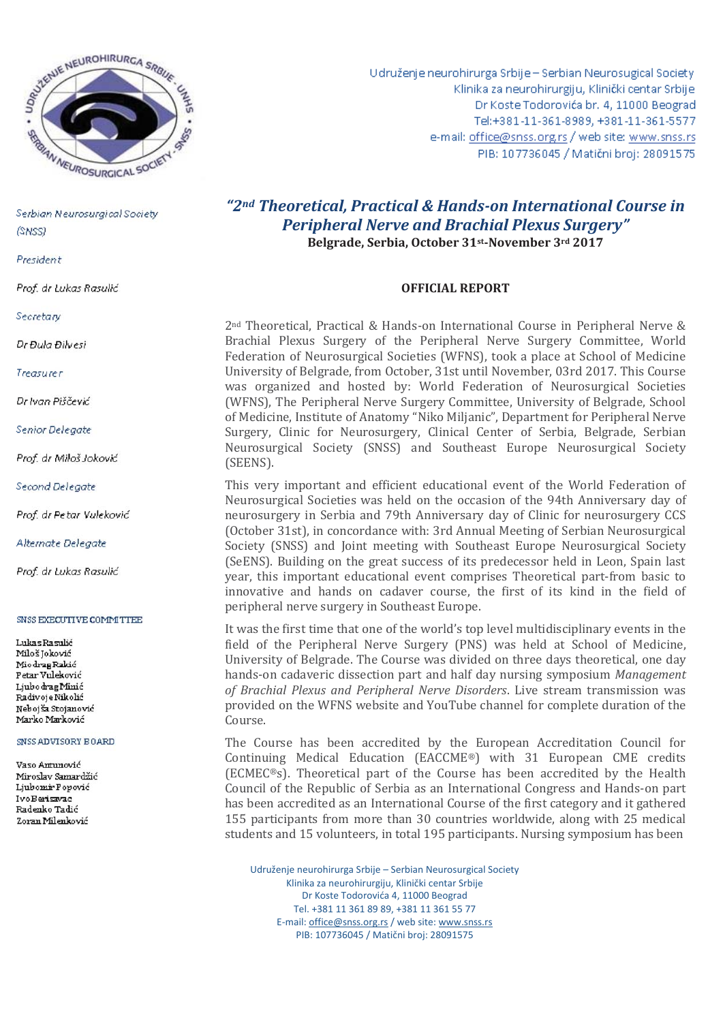

President

Prof. dr Lukas Rasulić

Secretary

Dr Đula Đilvesi

Treasurer

Dr Ivan Piščević

Senior Delegate

Prof. dr Miloš Joković

Second Delegate

Prof. dr Petar Vuleković

Alternate Delegate

Prof. dr Lukas Rasulić

#### **SNSS EXECUTIVE COMMITTEE**

Lukas Rasulić Miloš Joković Mio drag Rakić Petar Vuleković Liubo drag Minić Radivoje Nikolić Nebojša Stojanović Marko Marković

## SNSS ADVISORY BOARD

Vaso Antunović Miroslav Samardžić Ljubomir Popović IvoBerisavac Radenko Tadić Zoran Milenković

Udruženje neurohirurga Srbije - Serbian Neurosugical Society Klinika za neurohirurgiju, Klinički centar Srbije Dr Koste Todorovića br. 4, 11000 Beograd Tel:+381-11-361-8989, +381-11-361-5577 e-mail: office@snss.org.rs / web site: www.snss.rs PIB: 107736045 / Matični broj: 28091575

# *"2nd Theoretical, Practical & Hands-on International Course in Peripheral Nerve and Brachial Plexus Surgery"*  **Belgrade, Serbia, October 31st-November 3rd 2017**

# **OFFICIAL REPORT**

2nd Theoretical, Practical & Hands-on International Course in Peripheral Nerve & Brachial Plexus Surgery of the Peripheral Nerve Surgery Committee, World Federation of Neurosurgical Societies (WFNS), took a place at School of Medicine University of Belgrade, from October, 31st until November, 03rd 2017. This Course was organized and hosted by: World Federation of Neurosurgical Societies (WFNS), The Peripheral Nerve Surgery Committee, University of Belgrade, School of Medicine, Institute of Anatomy "Niko Miljanic", Department for Peripheral Nerve Surgery, Clinic for Neurosurgery, Clinical Center of Serbia, Belgrade, Serbian Neurosurgical Society (SNSS) and Southeast Europe Neurosurgical Society (SEENS).

This very important and efficient educational event of the World Federation of Neurosurgical Societies was held on the occasion of the 94th Anniversary day of neurosurgery in Serbia and 79th Anniversary day of Clinic for neurosurgery CCS (October 31st), in concordance with: 3rd Annual Meeting of Serbian Neurosurgical Society (SNSS) and Joint meeting with Southeast Europe Neurosurgical Society (SeENS). Building on the great success of its predecessor held in Leon, Spain last year, this important educational event comprises Theoretical part-from basic to innovative and hands on cadaver course, the first of its kind in the field of peripheral nerve surgery in Southeast Europe.

It was the first time that one of the world's top level multidisciplinary events in the field of the Peripheral Nerve Surgery (PNS) was held at School of Medicine, University of Belgrade. The Course was divided on three days theoretical, one day hands-on cadaveric dissection part and half day nursing symposium *Management of Brachial Plexus and Peripheral Nerve Disorders*. Live stream transmission was provided on the WFNS website and YouTube channel for complete duration of the Course.

The Course has been accredited by the European Accreditation Council for Continuing Medical Education (EACCME®) with 31 European CME credits (ECMEC®s). Theoretical part of the Course has been accredited by the Health Council of the Republic of Serbia as an International Congress and Hands-on part has been accredited as an International Course of the first category and it gathered 155 participants from more than 30 countries worldwide, along with 25 medical students and 15 volunteers, in total 195 participants. Nursing symposium has been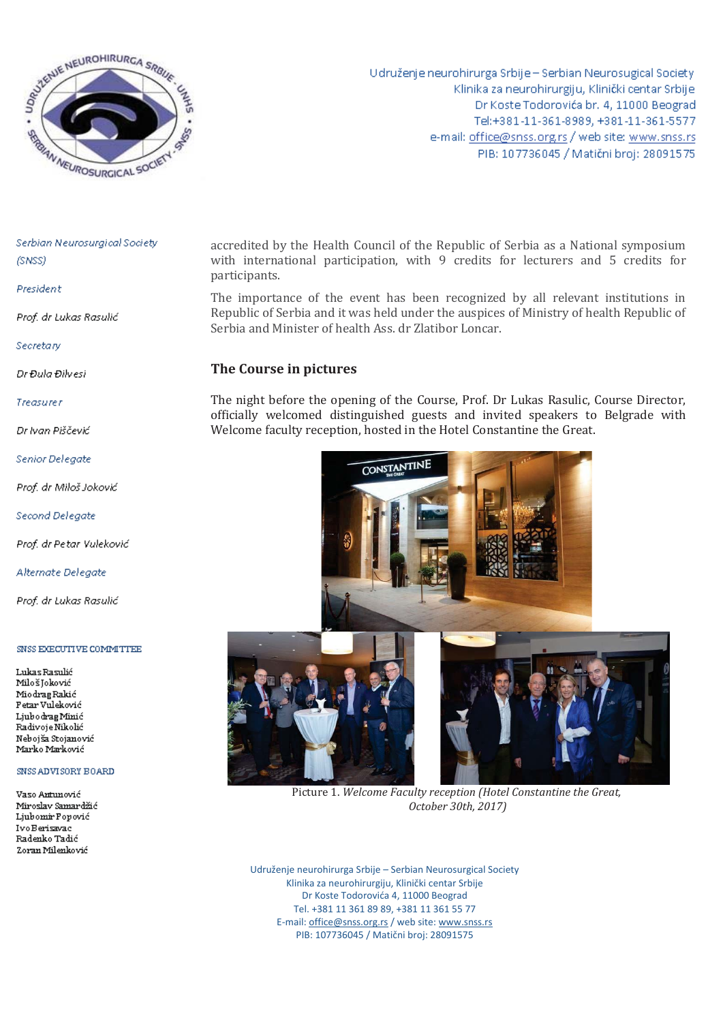

Udruženje neurohirurga Srbije - Serbian Neurosugical Society Klinika za neurohirurgiju, Klinički centar Srbije Dr Koste Todorovića br. 4, 11000 Beograd Tel:+381-11-361-8989, +381-11-361-5577 e-mail: office@snss.org.rs / web site: www.snss.rs PIB: 107736045 / Matični broj: 28091575

Serbian Neurosurgical Society (SNSS)

President

Prof. dr Lukas Rasulić

Secretary

Dr Đula Đilvesi

Treasurer

Dr Ivan Piščević

Senior Delegate

Prof. dr Miloš Joković

Second Delegate

Prof. dr Petar Vuleković

Alternate Delegate

Prof. dr Lukas Rasulić

### SNSS EXECUTIVE COMMITTEE

Lukas Rasulić Miloš Joković MiodragRakić Petar Vuleković Liubo drag Minić Radivoje Nikolić Nebojša Stojanović Marko Marković

#### SNSS ADVISORY BOARD

Vaso Antunović Miroslav Samardžić Ljubomir Popović IvoBerisavac Radenko Tadić Zoran Milenković

accredited by the Health Council of the Republic of Serbia as a National symposium with international participation, with 9 credits for lecturers and 5 credits for participants.

The importance of the event has been recognized by all relevant institutions in Republic of Serbia and it was held under the auspices of Ministry of health Republic of Serbia and Minister of health Ass. dr Zlatibor Loncar.

# **The Course in pictures**

The night before the opening of the Course, Prof. Dr Lukas Rasulic, Course Director, officially welcomed distinguished guests and invited speakers to Belgrade with Welcome faculty reception, hosted in the Hotel Constantine the Great.



Picture 1. *Welcome Faculty reception (Hotel Constantine the Great, October 30th, 2017)*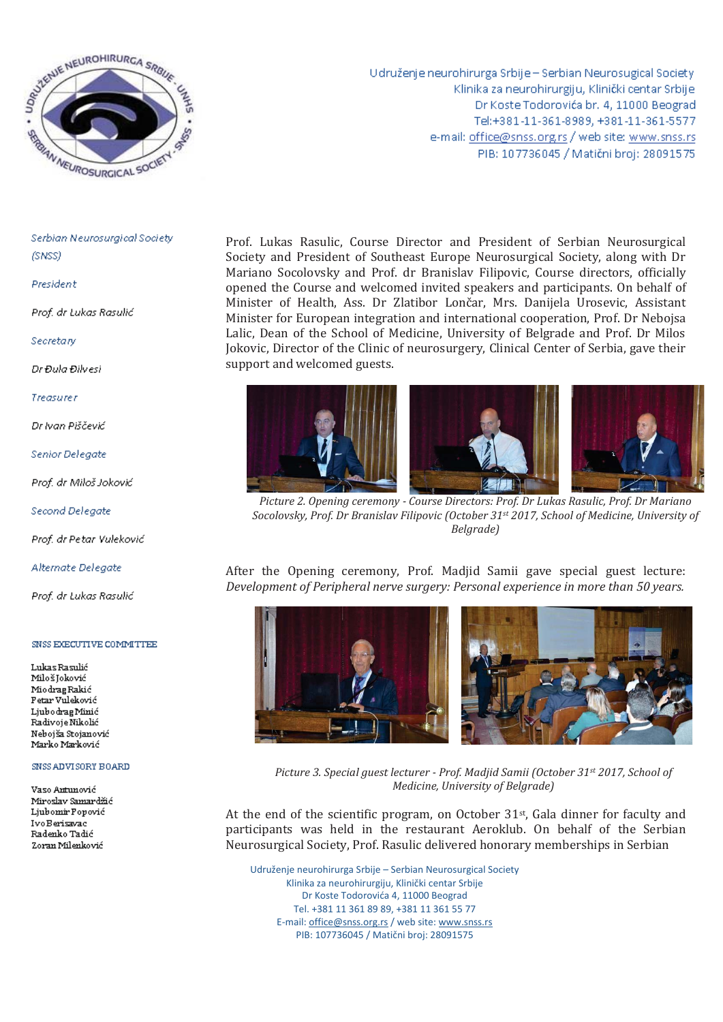

President

Prof. dr Lukas Rasulić

Secretary

Dr Đula Đilvesi

**Treasurer** 

Dr Ivan Piščević

**Senior Delegate** 

Prof. dr Miloš Joković

Second Delegate

Prof. dr Petar Vuleković

Alternate Delegate

Prof. dr Lukas Rasulić

### SNSS EXECUTIVE COMMITTEE

Lukas Rasulić Miloš Joković Miodrag Rakić Petar Vuleković Ljubo drag Minić Radivoje Nikolić Nebojša Stojanović Marko Marković

### SNSS ADVISORY BOARD

Vaso Antunović Miroslav Samardžić Liubomir Ponović IvoBerisavac Radenko Tadić Zoran Milenković

Udruženje neurohirurga Srbije - Serbian Neurosugical Society Klinika za neurohirurgiju, Klinički centar Srbije Dr Koste Todorovića br. 4, 11000 Beograd Tel:+381-11-361-8989, +381-11-361-5577 e-mail: office@snss.org.rs / web site: www.snss.rs PIB: 107736045 / Matični broj: 28091575

Prof. Lukas Rasulic, Course Director and President of Serbian Neurosurgical Society and President of Southeast Europe Neurosurgical Society, along with Dr Mariano Socolovsky and Prof. dr Branislav Filipovic, Course directors, officially opened the Course and welcomed invited speakers and participants. On behalf of Minister of Health, Ass. Dr Zlatibor Lončar, Mrs. Danijela Urosevic, Assistant Minister for European integration and international cooperation, Prof. Dr Nebojsa Lalic, Dean of the School of Medicine, University of Belgrade and Prof. Dr Milos Jokovic, Director of the Clinic of neurosurgery, Clinical Center of Serbia, gave their support and welcomed guests.





*Picture 2. Opening ceremony - Course Directors: Prof. Dr Lukas Rasulic, Prof. Dr Mariano Socolovsky, Prof. Dr Branislav Filipovic (October 31st 2017, School of Medicine, University of Belgrade)* 

After the Opening ceremony, Prof. Madjid Samii gave special guest lecture: *Development of Peripheral nerve surgery: Personal experience in more than 50 years.* 



*Picture 3. Special guest lecturer - Prof. Madjid Samii (October 31st 2017, School of Medicine, University of Belgrade)* 

At the end of the scientific program, on October  $31st$ , Gala dinner for faculty and participants was held in the restaurant Aeroklub. On behalf of the Serbian Neurosurgical Society, Prof. Rasulic delivered honorary memberships in Serbian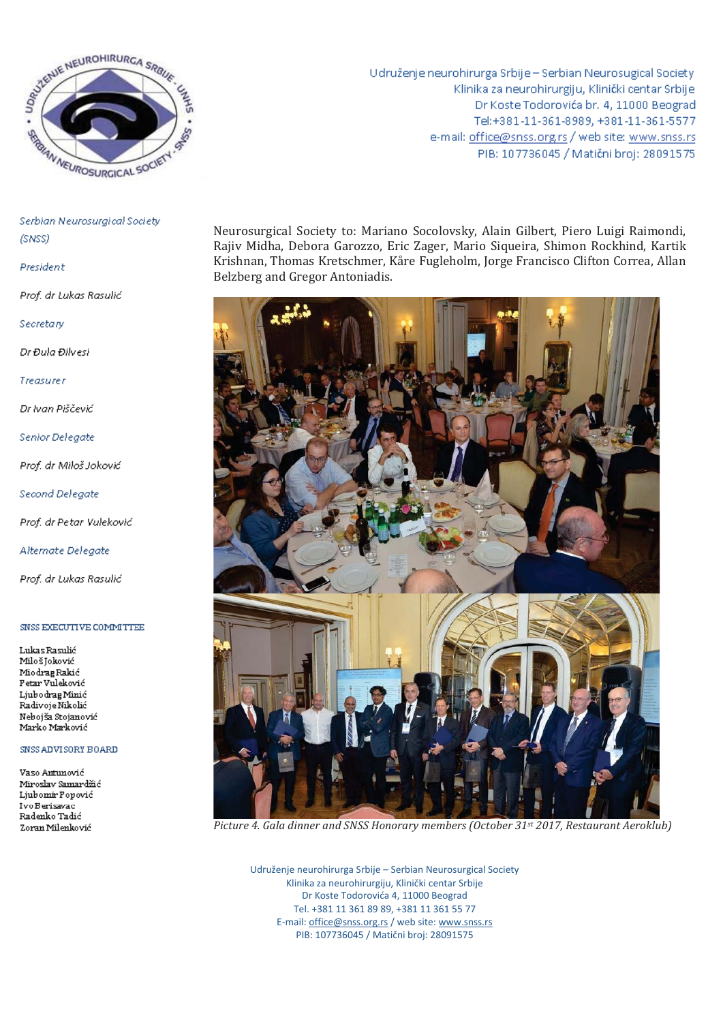

President

Prof. dr Lukas Rasulić

Secretary

Dr Đula Đilvesi

Treasurer

Dr Ivan Piščević

Senior Delegate

Prof. dr Miloš Joković

Second Delegate

Prof. dr Petar Vuleković

Alternate Delegate

Prof. dr Lukas Rasulić

#### SNSS EXECUTIVE COMMITTEE

Lukas Rasulić MilošJoković Miodrag Rakić Petar Vuleković Ljubo drag Minić Radivoje Nikolić Nebojša Stojanović Marko Marković

#### SNSS ADVISORY BOARD

Vaso Antunović Miroslav Samardžić Liubomir Popović IvoBerisavac Radenko Tadić Zoran Milenković

Udruženje neurohirurga Srbije - Serbian Neurosugical Society Klinika za neurohirurgiju, Klinički centar Srbije Dr Koste Todorovića br. 4, 11000 Beograd Tel:+381-11-361-8989, +381-11-361-5577 e-mail: office@snss.org.rs / web site: www.snss.rs PIB: 107736045 / Matični broj: 28091575

Neurosurgical Society to: Mariano Socolovsky, Alain Gilbert, Piero Luigi Raimondi, Rajiv Midha, Debora Garozzo, Eric Zager, Mario Siqueira, Shimon Rockhind, Kartik Krishnan, Thomas Kretschmer, Kåre Fugleholm, Jorge Francisco Clifton Correa, Allan Belzberg and Gregor Antoniadis.



Picture 4. Gala dinner and SNSS Honorary members (October 31st 2017, Restaurant Aeroklub)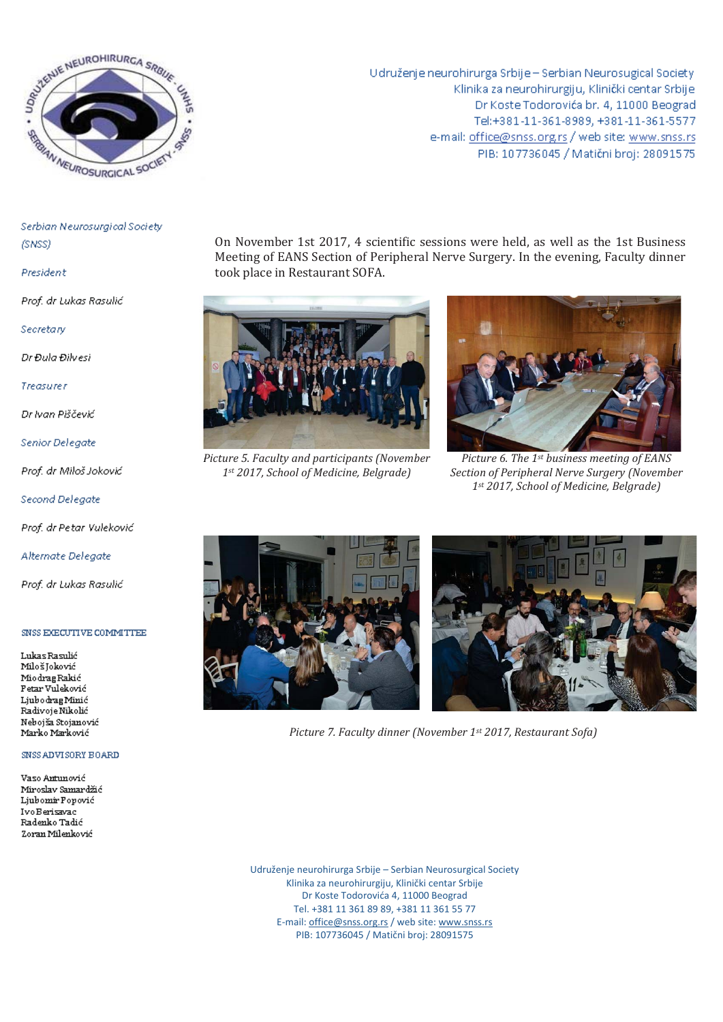

President

Prof. dr Lukas Rasulić

Secretary

Dr Đula Đilvesi

Treasurer

Dr Ivan Piščević

Senior Delegate

Prof. dr Miloš Joković

Second Delegate

Prof. dr Petar Vuleković

Alternate Delegate

Prof. dr Lukas Rasulić

## SNSS EXECUTIVE COMMITTEE

Lukas Rasulić Miloš Joković Miodrag Rakić Petar Vuleković Ljubo drag Minić Radivoje Nikolić Nebojša Stojanović Marko Marković

# SNSS ADVISORY BOARD

Vaso Antunović Miroslav Samardžić Ljubomir Popović IvoBerisavac Radenko Tadić Zoran Milenković

Udruženje neurohirurga Srbije - Serbian Neurosugical Society Klinika za neurohirurgiju, Klinički centar Srbije Dr Koste Todorovića br. 4, 11000 Beograd Tel:+381-11-361-8989, +381-11-361-5577 e-mail: office@snss.org.rs / web site: www.snss.rs PIB: 107736045 / Matični broj: 28091575

On November 1st 2017, 4 scientific sessions were held, as well as the 1st Business Meeting of EANS Section of Peripheral Nerve Surgery. In the evening, Faculty dinner took place in Restaurant SOFA.



Picture 5. Faculty and participants (November 1st 2017, School of Medicine, Belgrade)



Picture 6. The 1<sup>st</sup> business meeting of EANS Section of Peripheral Nerve Surgery (November 1st 2017, School of Medicine, Belgrade)



Picture 7. Faculty dinner (November 1st 2017, Restaurant Sofa)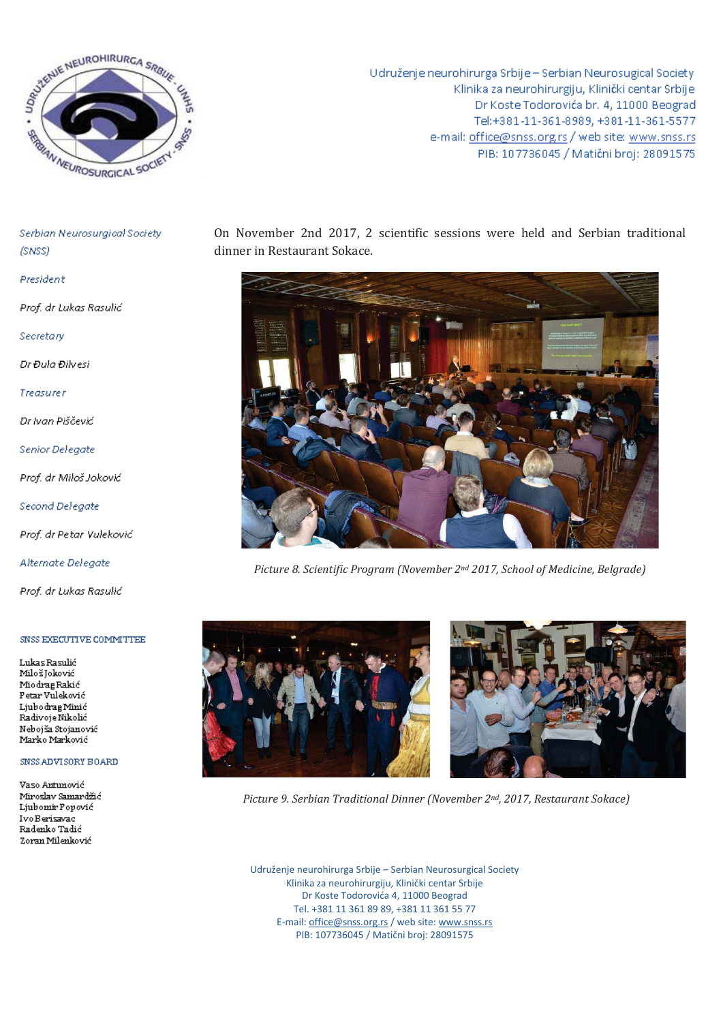

Udruženje neurohirurga Srbije - Serbian Neurosugical Society Klinika za neurohirurgiju, Klinički centar Srbije Dr Koste Todorovića br. 4, 11000 Beograd Tel:+381-11-361-8989, +381-11-361-5577 e-mail: office@snss.org.rs / web site: www.snss.rs PIB: 107736045 / Matični broj: 28091575

Serbian Neurosurgical Society (SNSS)

President

Prof. dr Lukas Rasulić

Secretary

Dr Đula Đilvesi

Treasurer

Dr Ivan Piščević

**Senior Delegate** 

Prof. dr Miloš Joković

Second Delegate

Prof. dr Petar Vuleković

Alternate Delegate

Prof. dr Lukas Rasulić

## SNSS EXECUTIVE COMMITTEE

Lukas Rasulić Miloš Joković Miodrag Rakić Petar Vuleković Ljubo drag Minić Radivoje Nikolić Nebojša Stojanović Marko Marković

## SNSS ADVISORY BOARD

Vaso Antunović Miroslav Samardžić Ljubomir Popović IvoBerisavac Radenko Tadić Zoran Milenković

On November 2nd 2017, 2 scientific sessions were held and Serbian traditional dinner in Restaurant Sokace.



Picture 8. Scientific Program (November 2<sup>nd</sup> 2017, School of Medicine, Belgrade)





Picture 9. Serbian Traditional Dinner (November 2nd, 2017, Restaurant Sokace)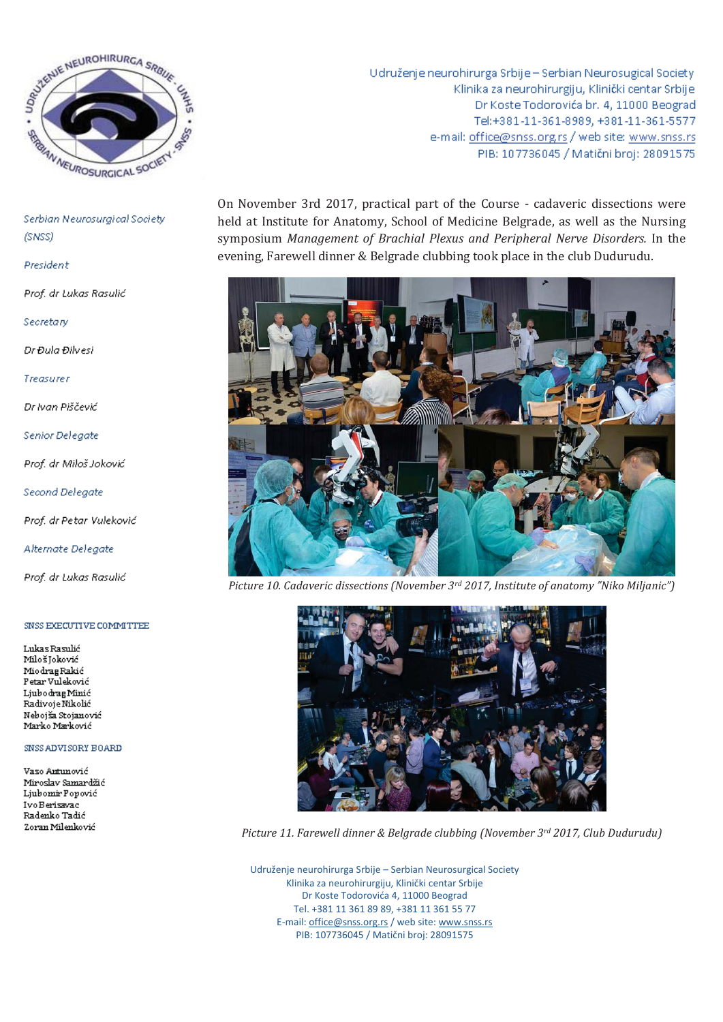

## President

Prof. dr Lukas Rasulić

Secretary

Dr Đula Đilvesi

Treasurer

Dr Ivan Piščević

**Senior Delegate** 

Prof. dr Miloš Joković

Second Delegate

Prof. dr Petar Vuleković

Alternate Delegate

Prof. dr Lukas Rasulić

#### SNSS EXECUTIVE COMMITTEE

Lukas Rasulić Miloš Joković Miodrag Rakić Petar Vuleković Ljubo drag Minić Radivoje Nikolić Nebojša Stojanović Marko Marković

### SNSS ADVISORY BOARD

Vaso Antunović Miroslav Samardžić Ljubomir Popović IvoBerisavac Radenko Tadić Zoran Milenković

Udruženje neurohirurga Srbije - Serbian Neurosugical Society Klinika za neurohirurgiju, Klinički centar Srbije Dr Koste Todorovića br. 4, 11000 Beograd Tel:+381-11-361-8989, +381-11-361-5577 e-mail: office@snss.org.rs / web site: www.snss.rs PIB: 107736045 / Matični broj: 28091575

On November 3rd 2017, practical part of the Course - cadaveric dissections were held at Institute for Anatomy, School of Medicine Belgrade, as well as the Nursing symposium Management of Brachial Plexus and Peripheral Nerve Disorders. In the evening, Farewell dinner & Belgrade clubbing took place in the club Dudurudu.



Picture 10. Cadaveric dissections (November 3rd 2017, Institute of anatomy "Niko Miljanic")



Picture 11. Farewell dinner & Belgrade clubbing (November 3rd 2017, Club Dudurudu)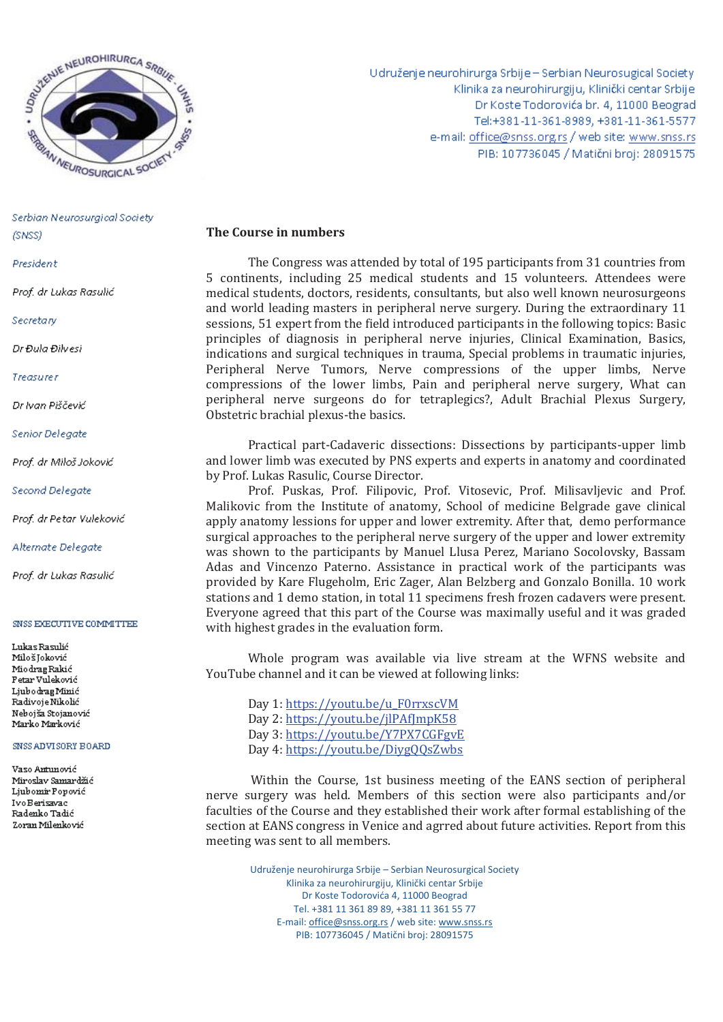

President

Prof. dr Lukas Rasulić

Secretary

Dr Đula Đilvesi

**Treasurer** 

Dr Ivan Piščević

Senior Delegate

Prof. dr Miloš Joković

Second Delegate

Prof. dr Petar Vuleković

Alternate Delegate

Prof. dr Lukas Rasulić

#### SNSS EXECUTIVE COMMITTEE

Lukas Rasulić Miloš Joković MiodragRakić Petar Vuleković Ljubo drag Minić Radivoje Nikolić Nebojša Stojanović Marko Marković

### SNSS ADVISORY BOARD

Vaso Antunović Miroslav Samardžić Ljubomir Popović IvoBerisavac Radenko Tadić Zoran Milenković

Udruženje neurohirurga Srbije - Serbian Neurosugical Society Klinika za neurohirurgiju, Klinički centar Srbije Dr Koste Todorovića br. 4, 11000 Beograd Tel:+381-11-361-8989, +381-11-361-5577 e-mail: office@snss.org.rs / web site: www.snss.rs PIB: 107736045 / Matični broj: 28091575

# **The Course in numbers**

The Congress was attended by total of 195 participants from 31 countries from 5 continents, including 25 medical students and 15 volunteers. Attendees were medical students, doctors, residents, consultants, but also well known neurosurgeons and world leading masters in peripheral nerve surgery. During the extraordinary 11 sessions, 51 expert from the field introduced participants in the following topics: Basic principles of diagnosis in peripheral nerve injuries, Clinical Examination, Basics, indications and surgical techniques in trauma, Special problems in traumatic injuries, Peripheral Nerve Tumors, Nerve compressions of the upper limbs, Nerve compressions of the lower limbs, Pain and peripheral nerve surgery, What can peripheral nerve surgeons do for tetraplegics?, Adult Brachial Plexus Surgery, Obstetric brachial plexus-the basics.

Practical part-Cadaveric dissections: Dissections by participants-upper limb and lower limb was executed by PNS experts and experts in anatomy and coordinated by Prof. Lukas Rasulic, Course Director.

Prof. Puskas, Prof. Filipovic, Prof. Vitosevic, Prof. Milisavljevic and Prof. Malikovic from the Institute of anatomy, School of medicine Belgrade gave clinical apply anatomy lessions for upper and lower extremity. After that, demo performance surgical approaches to the peripheral nerve surgery of the upper and lower extremity was shown to the participants by Manuel Llusa Perez, Mariano Socolovsky, Bassam Adas and Vincenzo Paterno. Assistance in practical work of the participants was provided by Kare Flugeholm, Eric Zager, Alan Belzberg and Gonzalo Bonilla. 10 work stations and 1 demo station, in total 11 specimens fresh frozen cadavers were present. Everyone agreed that this part of the Course was maximally useful and it was graded with highest grades in the evaluation form.

Whole program was available via live stream at the WFNS website and YouTube channel and it can be viewed at following links:

Day 1: https://youtu.be/u\_F0rrxscVM Day 2: https://youtu.be/jlPAfJmpK58 Day 3: https://youtu.be/Y7PX7CGFgvE Day 4: https://youtu.be/DiygQQsZwbs

 Within the Course, 1st business meeting of the EANS section of peripheral nerve surgery was held. Members of this section were also participants and/or faculties of the Course and they established their work after formal establishing of the section at EANS congress in Venice and agrred about future activities. Report from this meeting was sent to all members.